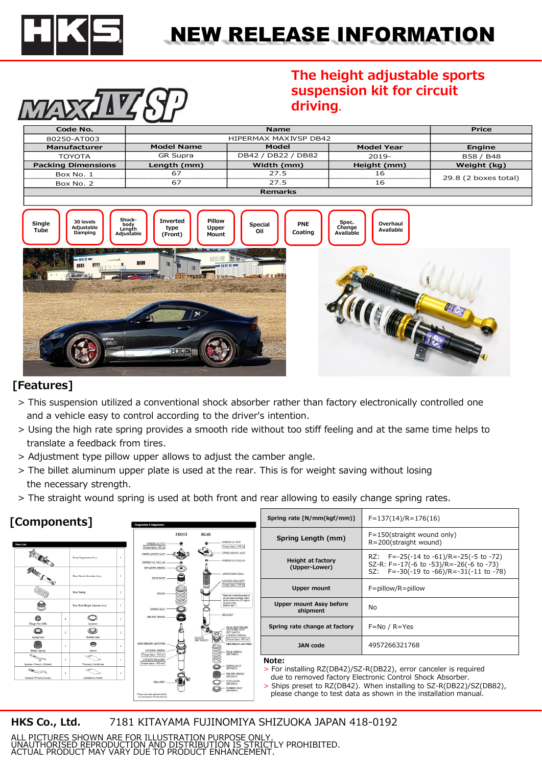

MAXZIVZSP

# NEW RELEASE INFORMATION

### **The height adjustable sports suspension kit for circuit driving**.

| Code No.                  | <b>Name</b>           |                    |                   | Price                |
|---------------------------|-----------------------|--------------------|-------------------|----------------------|
| 80250-AT003               | HIPERMAX MAXIVSP DB42 |                    |                   |                      |
| <b>Manufacturer</b>       | <b>Model Name</b>     | Model              | <b>Model Year</b> | Engine               |
| <b>TOYOTA</b>             | <b>GR Supra</b>       | DB42 / DB22 / DB82 | 2019-             | B58 / B48            |
| <b>Packing Dimensions</b> | Length (mm)           | Width (mm)         | Height (mm)       | Weight (kg)          |
| Box No. 1                 | 67                    | 27.5               | 16                | 29.8 (2 boxes total) |
| Box No. 2                 | 67                    | 27.5               | 16                |                      |
| <b>Remarks</b>            |                       |                    |                   |                      |
|                           |                       |                    |                   |                      |



### **[Features]**

- > This suspension utilized a conventional shock absorber rather than factory electronically controlled one and a vehicle easy to control according to the driver's intention.
- > Using the high rate spring provides a smooth ride without too stiff feeling and at the same time helps to translate a feedback from tires.
- > Adjustment type pillow upper allows to adjust the camber angle.
- > The billet aluminum upper plate is used at the rear. This is for weight saving without losing the necessary strength.
- > The straight wound spring is used at both front and rear allowing to easily change spring rates.





| Spring rate [N/mm(kgf/mm)]                | $F=137(14)/R=176(16)$                                                                                                        |  |
|-------------------------------------------|------------------------------------------------------------------------------------------------------------------------------|--|
| Spring Length (mm)                        | $F = 150$ (straight wound only)<br>R=200(straight wound)                                                                     |  |
| <b>Height at factory</b><br>(Upper-Lower) | RZ: F=-25(-14 to -61)/R=-25(-5 to -72)<br>SZ-R: F=-17(-6 to -53)/R=-26(-6 to -73)<br>SZ: F=-30(-19 to -66)/R=-31(-11 to -78) |  |
| <b>Upper mount</b>                        | $F = p$ illow/R=pillow                                                                                                       |  |
| Upper mount Assy before<br>shipment       | No                                                                                                                           |  |
| Spring rate change at factory             | $F = No / R = Yes$                                                                                                           |  |
| <b>JAN</b> code                           | 4957266321768                                                                                                                |  |

#### **Note:**

> For installing RZ(DB42)/SZ-R(DB22), error canceler is required due to removed factory Electronic Control Shock Absorber.

> Ships preset to RZ(DB42). When installing to SZ-R(DB22)/SZ(DB82), please change to test data as shown in the installation manual.

#### **HKS Co., Ltd.** 7181 KITAYAMA FUJINOMIYA SHIZUOKA JAPAN 418-0192

ALL PICTURES SHOWN ARE FOR ILLUSTRATION PURPOSE ONLY. UNAUTHORISED REPRODUCTION AND DISTRIBUTION IS STRICTLY PROHIBITED. ACTUAL PRODUCT MAY VARY DUE TO PRODUCT ENHANCEMENT.